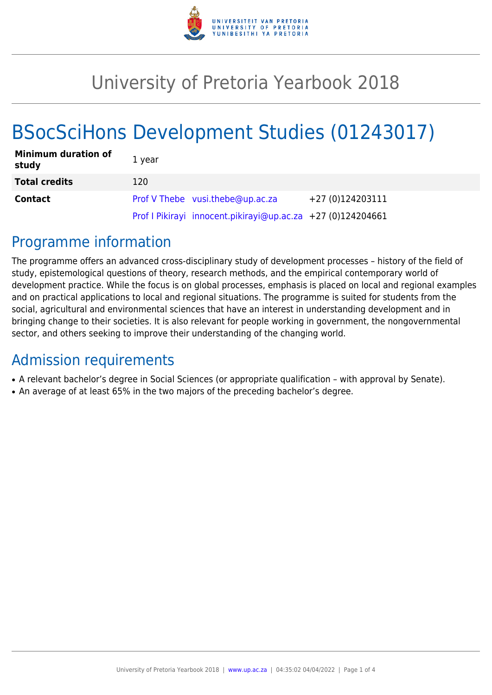

# University of Pretoria Yearbook 2018

# BSocSciHons Development Studies (01243017)

| <b>Minimum duration of</b><br>study | 1 year                                                      |                  |
|-------------------------------------|-------------------------------------------------------------|------------------|
| <b>Total credits</b>                | 120                                                         |                  |
| <b>Contact</b>                      | Prof V Thebe vusi.thebe@up.ac.za                            | +27 (0)124203111 |
|                                     | Prof I Pikirayi innocent.pikirayi@up.ac.za +27 (0)124204661 |                  |

# Programme information

The programme offers an advanced cross-disciplinary study of development processes – history of the field of study, epistemological questions of theory, research methods, and the empirical contemporary world of development practice. While the focus is on global processes, emphasis is placed on local and regional examples and on practical applications to local and regional situations. The programme is suited for students from the social, agricultural and environmental sciences that have an interest in understanding development and in bringing change to their societies. It is also relevant for people working in government, the nongovernmental sector, and others seeking to improve their understanding of the changing world.

# Admission requirements

- A relevant bachelor's degree in Social Sciences (or appropriate qualification with approval by Senate).
- An average of at least 65% in the two majors of the preceding bachelor's degree.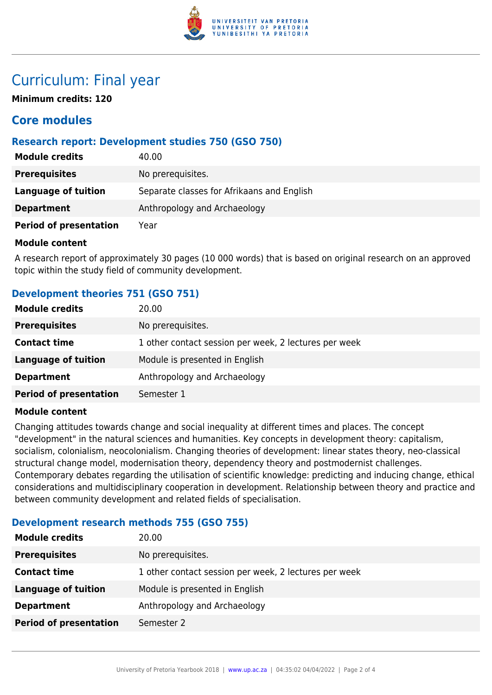

# Curriculum: Final year

**Minimum credits: 120**

# **Core modules**

## **Research report: Development studies 750 (GSO 750)**

| <b>Module credits</b>         | 40.00                                      |
|-------------------------------|--------------------------------------------|
| <b>Prerequisites</b>          | No prerequisites.                          |
| <b>Language of tuition</b>    | Separate classes for Afrikaans and English |
| <b>Department</b>             | Anthropology and Archaeology               |
| <b>Period of presentation</b> | Year                                       |

### **Module content**

A research report of approximately 30 pages (10 000 words) that is based on original research on an approved topic within the study field of community development.

# **Development theories 751 (GSO 751)**

| <b>Module credits</b>         | 20.00                                                 |
|-------------------------------|-------------------------------------------------------|
| <b>Prerequisites</b>          | No prerequisites.                                     |
| <b>Contact time</b>           | 1 other contact session per week, 2 lectures per week |
| <b>Language of tuition</b>    | Module is presented in English                        |
| <b>Department</b>             | Anthropology and Archaeology                          |
| <b>Period of presentation</b> | Semester 1                                            |

### **Module content**

Changing attitudes towards change and social inequality at different times and places. The concept "development" in the natural sciences and humanities. Key concepts in development theory: capitalism, socialism, colonialism, neocolonialism. Changing theories of development: linear states theory, neo-classical structural change model, modernisation theory, dependency theory and postmodernist challenges. Contemporary debates regarding the utilisation of scientific knowledge: predicting and inducing change, ethical considerations and multidisciplinary cooperation in development. Relationship between theory and practice and between community development and related fields of specialisation.

## **Development research methods 755 (GSO 755)**

| <b>Module credits</b>         | 20.00                                                 |
|-------------------------------|-------------------------------------------------------|
| <b>Prerequisites</b>          | No prerequisites.                                     |
| <b>Contact time</b>           | 1 other contact session per week, 2 lectures per week |
| <b>Language of tuition</b>    | Module is presented in English                        |
| <b>Department</b>             | Anthropology and Archaeology                          |
| <b>Period of presentation</b> | Semester 2                                            |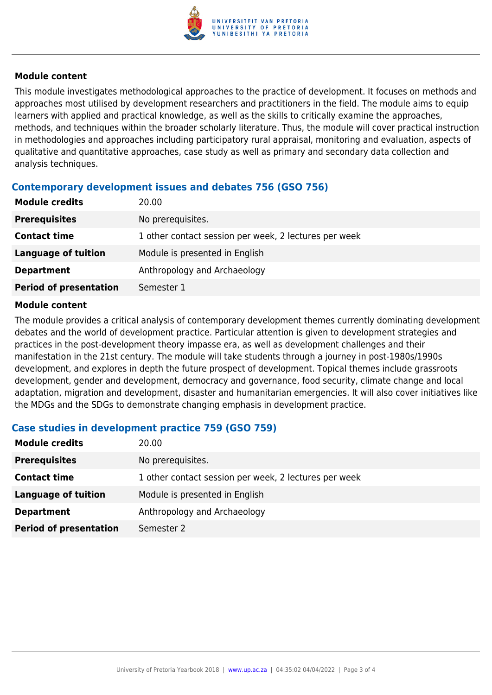

### **Module content**

This module investigates methodological approaches to the practice of development. It focuses on methods and approaches most utilised by development researchers and practitioners in the field. The module aims to equip learners with applied and practical knowledge, as well as the skills to critically examine the approaches, methods, and techniques within the broader scholarly literature. Thus, the module will cover practical instruction in methodologies and approaches including participatory rural appraisal, monitoring and evaluation, aspects of qualitative and quantitative approaches, case study as well as primary and secondary data collection and analysis techniques.

## **Contemporary development issues and debates 756 (GSO 756)**

| <b>Module credits</b>         | 20.00                                                 |
|-------------------------------|-------------------------------------------------------|
| <b>Prerequisites</b>          | No prerequisites.                                     |
| <b>Contact time</b>           | 1 other contact session per week, 2 lectures per week |
| <b>Language of tuition</b>    | Module is presented in English                        |
| <b>Department</b>             | Anthropology and Archaeology                          |
| <b>Period of presentation</b> | Semester 1                                            |

#### **Module content**

The module provides a critical analysis of contemporary development themes currently dominating development debates and the world of development practice. Particular attention is given to development strategies and practices in the post-development theory impasse era, as well as development challenges and their manifestation in the 21st century. The module will take students through a journey in post-1980s/1990s development, and explores in depth the future prospect of development. Topical themes include grassroots development, gender and development, democracy and governance, food security, climate change and local adaptation, migration and development, disaster and humanitarian emergencies. It will also cover initiatives like the MDGs and the SDGs to demonstrate changing emphasis in development practice.

### **Case studies in development practice 759 (GSO 759)**

| <b>Module credits</b>         | 20.00                                                 |
|-------------------------------|-------------------------------------------------------|
| <b>Prerequisites</b>          | No prerequisites.                                     |
| <b>Contact time</b>           | 1 other contact session per week, 2 lectures per week |
| <b>Language of tuition</b>    | Module is presented in English                        |
| <b>Department</b>             | Anthropology and Archaeology                          |
| <b>Period of presentation</b> | Semester 2                                            |